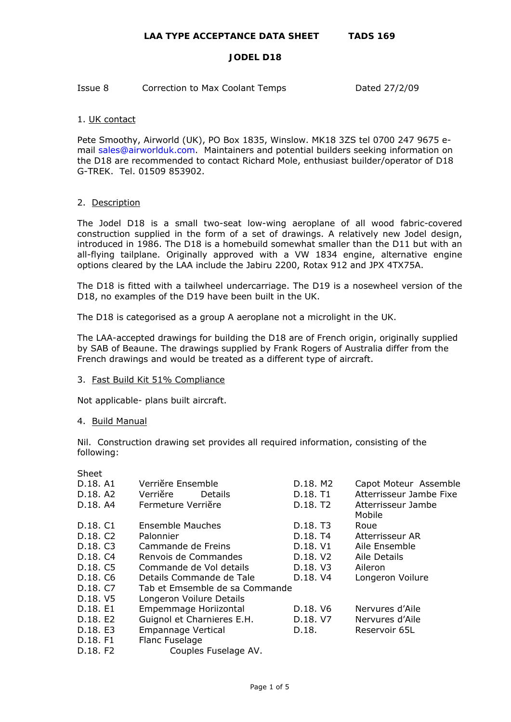Issue 8 Correction to Max Coolant Temps Dated 27/2/09

# 1. UK contact

Pete Smoothy, Airworld (UK), PO Box 1835, Winslow. MK18 3ZS tel 0700 247 9675 email [sales@airworlduk.com](mailto:sales@airworlduk.com). Maintainers and potential builders seeking information on the D18 are recommended to contact Richard Mole, enthusiast builder/operator of D18 G-TREK. Tel. 01509 853902.

# 2. Description

The Jodel D18 is a small two-seat low-wing aeroplane of all wood fabric-covered construction supplied in the form of a set of drawings. A relatively new Jodel design, introduced in 1986. The D18 is a homebuild somewhat smaller than the D11 but with an all-flying tailplane. Originally approved with a VW 1834 engine, alternative engine options cleared by the LAA include the Jabiru 2200, Rotax 912 and JPX 4TX75A.

The D18 is fitted with a tailwheel undercarriage. The D19 is a nosewheel version of the D18, no examples of the D19 have been built in the UK.

The D18 is categorised as a group A aeroplane not a microlight in the UK.

The LAA-accepted drawings for building the D18 are of French origin, originally supplied by SAB of Beaune. The drawings supplied by Frank Rogers of Australia differ from the French drawings and would be treated as a different type of aircraft.

# 3. Fast Build Kit 51% Compliance

Not applicable- plans built aircraft.

## 4. Build Manual

Nil. Construction drawing set provides all required information, consisting of the following:

| Sheet                |                                |                      |                              |
|----------------------|--------------------------------|----------------------|------------------------------|
| D.18, A1             | Verriĕre Ensemble              | D.18. M2             | Capot Moteur Assemble        |
| D.18, A2             | Verriĕre<br><b>Details</b>     | D.18. T1             | Atterrisseur Jambe Fixe      |
| D.18. A4             | Fermeture Verriĕre             | D.18. T <sub>2</sub> | Atterrisseur Jambe<br>Mobile |
| D.18. C1             | Ensemble Mauches               | D.18. T3             | Roue                         |
| D.18. C <sub>2</sub> | Palonnier                      | D.18. T4             | Atterrisseur AR              |
| D.18. C3             | Cammande de Freins             | D.18. V1             | Aile Ensemble                |
| D.18. C4             | Renvois de Commandes           | D.18. V2             | Aile Details                 |
| D.18. C5             | Commande de Vol details        | D.18. V3             | Aileron                      |
| D.18. C6             | Details Commande de Tale       | D.18. V4             | Longeron Voilure             |
| D.18. C7             | Tab et Emsemble de sa Commande |                      |                              |
| D.18. V5             | Longeron Voilure Details       |                      |                              |
| D.18. E1             | Empemmage Horiizontal          | D.18. V6             | Nervures d'Aile              |
| D.18. E2             | Guignol et Charnieres E.H.     | D.18. V7             | Nervures d'Aile              |
| D.18. E3             | <b>Empannage Vertical</b>      | D.18.                | Reservoir 65L                |
| D.18. F1             | Flanc Fuselage                 |                      |                              |
| D.18. F <sub>2</sub> | Couples Fuselage AV.           |                      |                              |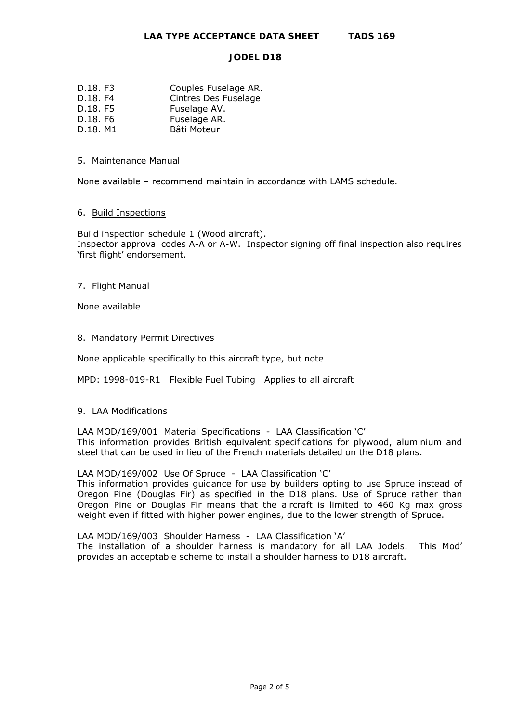| D.18. F3 | Couples Fuselage AR. |
|----------|----------------------|
| D.18. F4 | Cintres Des Fuselage |
| D.18. F5 | Fuselage AV.         |
| D.18. F6 | Fuselage AR.         |

D.18. M1 Bâti Moteur

## 5. Maintenance Manual

None available – recommend maintain in accordance with LAMS schedule.

## 6. Build Inspections

Build inspection schedule 1 (Wood aircraft). Inspector approval codes A-A or A-W. Inspector signing off final inspection also requires 'first flight' endorsement.

## 7. Flight Manual

None available

## 8. Mandatory Permit Directives

None applicable specifically to this aircraft type, but note

MPD: 1998-019-R1 Flexible Fuel Tubing Applies to all aircraft

## 9. LAA Modifications

LAA MOD/169/001 Material Specifications- LAA Classification 'C' This information provides British equivalent specifications for plywood, aluminium and steel that can be used in lieu of the French materials detailed on the D18 plans.

LAA MOD/169/002 Use Of Spruce- LAA Classification 'C'

This information provides guidance for use by builders opting to use Spruce instead of Oregon Pine (Douglas Fir) as specified in the D18 plans. Use of Spruce rather than Oregon Pine or Douglas Fir means that the aircraft is limited to 460 Kg max gross weight even if fitted with higher power engines, due to the lower strength of Spruce.

LAA MOD/169/003 Shoulder Harness- LAA Classification 'A'

The installation of a shoulder harness is mandatory for all LAA Jodels. This Mod' provides an acceptable scheme to install a shoulder harness to D18 aircraft.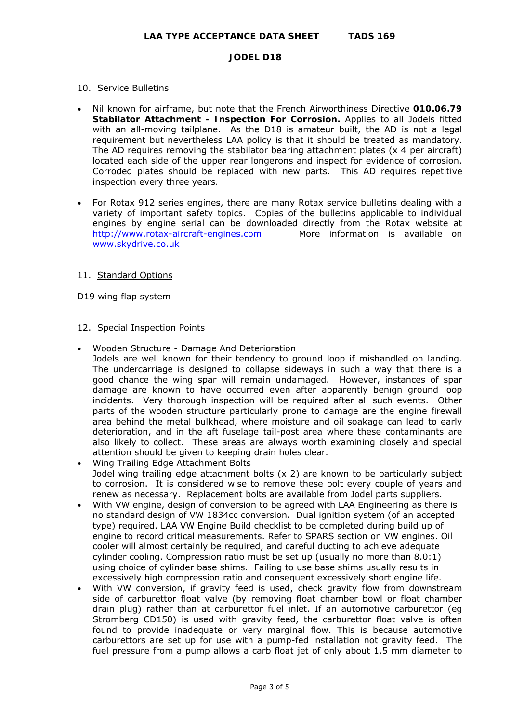# 10. Service Bulletins

- Nil known for airframe, but note that the French Airworthiness Directive **010.06.79 Stabilator Attachment - Inspection For Corrosion.** Applies to all Jodels fitted with an all-moving tailplane. As the D18 is amateur built, the AD is not a legal requirement but nevertheless LAA policy is that it should be treated as mandatory. The AD requires removing the stabilator bearing attachment plates (x 4 per aircraft) located each side of the upper rear longerons and inspect for evidence of corrosion. Corroded plates should be replaced with new parts. *This AD requires repetitive inspection every three years.*
- For Rotax 912 series engines, there are many Rotax service bulletins dealing with a variety of important safety topics. Copies of the bulletins applicable to individual engines by engine serial can be downloaded directly from the Rotax website at [http://www.rotax-aircraft-engines.com](http://www.rotax-aircraft-engines.com/) More information is available on [www.skydrive.co.uk](http://www.skydrive.co.uk/)

## 11. Standard Options

D19 wing flap system

## 12. Special Inspection Points

- Wooden Structure Damage And Deterioration Jodels are well known for their tendency to ground loop if mishandled on landing. The undercarriage is designed to collapse sideways in such a way that there is a good chance the wing spar will remain undamaged. However, instances of spar damage are known to have occurred even after apparently benign ground loop incidents. Very thorough inspection will be required after all such events. Other parts of the wooden structure particularly prone to damage are the engine firewall area behind the metal bulkhead, where moisture and oil soakage can lead to early deterioration, and in the aft fuselage tail-post area where these contaminants are also likely to collect. These areas are always worth examining closely and special attention should be given to keeping drain holes clear.
- Wing Trailing Edge Attachment Bolts Jodel wing trailing edge attachment bolts (x 2) are known to be particularly subject to corrosion. It is considered wise to remove these bolt every couple of years and renew as necessary. Replacement bolts are available from Jodel parts suppliers.
- With VW engine, design of conversion to be agreed with LAA Engineering as there is no standard design of VW 1834cc conversion. Dual ignition system (of an accepted type) required. LAA VW Engine Build checklist to be completed during build up of engine to record critical measurements. Refer to SPARS section on VW engines. Oil cooler will almost certainly be required, and careful ducting to achieve adequate cylinder cooling. Compression ratio must be set up (usually no more than 8.0:1) using choice of cylinder base shims. Failing to use base shims usually results in excessively high compression ratio and consequent excessively short engine life.
- With VW conversion, if gravity feed is used, check gravity flow from downstream side of carburettor float valve (by removing float chamber bowl or float chamber drain plug) rather than at carburettor fuel inlet. If an automotive carburettor (eg Stromberg CD150) is used with gravity feed, the carburettor float valve is often found to provide inadequate or very marginal flow. This is because automotive carburettors are set up for use with a pump-fed installation not gravity feed. The fuel pressure from a pump allows a carb float jet of only about 1.5 mm diameter to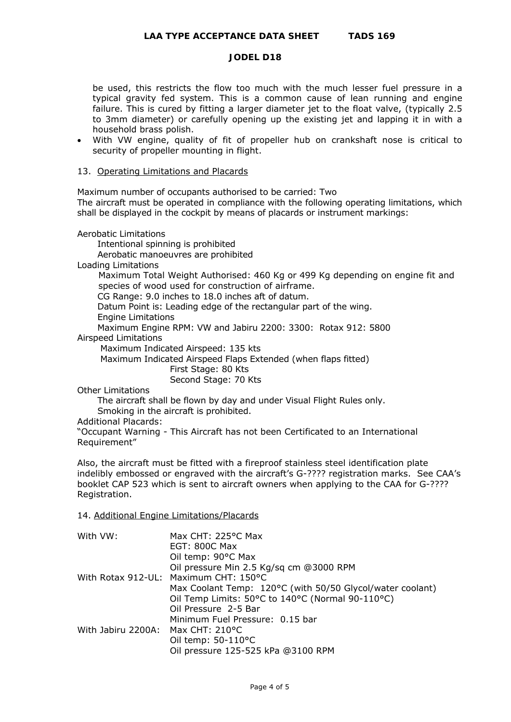be used, this restricts the flow too much with the much lesser fuel pressure in a typical gravity fed system. This is a common cause of lean running and engine failure. This is cured by fitting a larger diameter jet to the float valve, (typically 2.5 to 3mm diameter) or carefully opening up the existing jet and lapping it in with a household brass polish.

• With VW engine, quality of fit of propeller hub on crankshaft nose is critical to security of propeller mounting in flight.

#### 13. Operating Limitations and Placards

Maximum number of occupants authorised to be carried: Two

The aircraft must be operated in compliance with the following operating limitations, which shall be displayed in the cockpit by means of placards or instrument markings:

Aerobatic Limitations

 Intentional spinning is prohibited Aerobatic manoeuvres are prohibited Loading Limitations Maximum Total Weight Authorised: 460 Kg or 499 Kg depending on engine fit and species of wood used for construction of airframe. CG Range: 9.0 inches to 18.0 inches aft of datum. Datum Point is: Leading edge of the rectangular part of the wing. Engine Limitations Maximum Engine RPM: VW and Jabiru 2200: 3300: Rotax 912: 5800 Airspeed Limitations Maximum Indicated Airspeed: 135 kts Maximum Indicated Airspeed Flaps Extended (when flaps fitted) First Stage: 80 Kts Second Stage: 70 Kts Other Limitations

 The aircraft shall be flown by day and under Visual Flight Rules only. Smoking in the aircraft is prohibited.

Additional Placards:

"Occupant Warning - This Aircraft has not been Certificated to an International Requirement"

Also, the aircraft must be fitted with a fireproof stainless steel identification plate indelibly embossed or engraved with the aircraft's G-???? registration marks. See CAA's booklet CAP 523 which is sent to aircraft owners when applying to the CAA for G-???? Registration.

## 14. Additional Engine Limitations/Placards

| With VW:                          | Max CHT: 225°C Max                                        |
|-----------------------------------|-----------------------------------------------------------|
|                                   | <b>EGT: 800C Max</b>                                      |
|                                   | Oil temp: 90°C Max                                        |
|                                   | Oil pressure Min 2.5 Kg/sq cm @3000 RPM                   |
|                                   | With Rotax 912-UL: Maximum CHT: 150°C                     |
|                                   | Max Coolant Temp: 120°C (with 50/50 Glycol/water coolant) |
|                                   | Oil Temp Limits: 50°C to 140°C (Normal 90-110°C)          |
|                                   | Oil Pressure 2-5 Bar                                      |
|                                   | Minimum Fuel Pressure: 0.15 bar                           |
| With Jabiru 2200A: Max CHT: 210°C |                                                           |
|                                   | Oil temp: $50-110$ °C                                     |
|                                   | Oil pressure 125-525 kPa @3100 RPM                        |